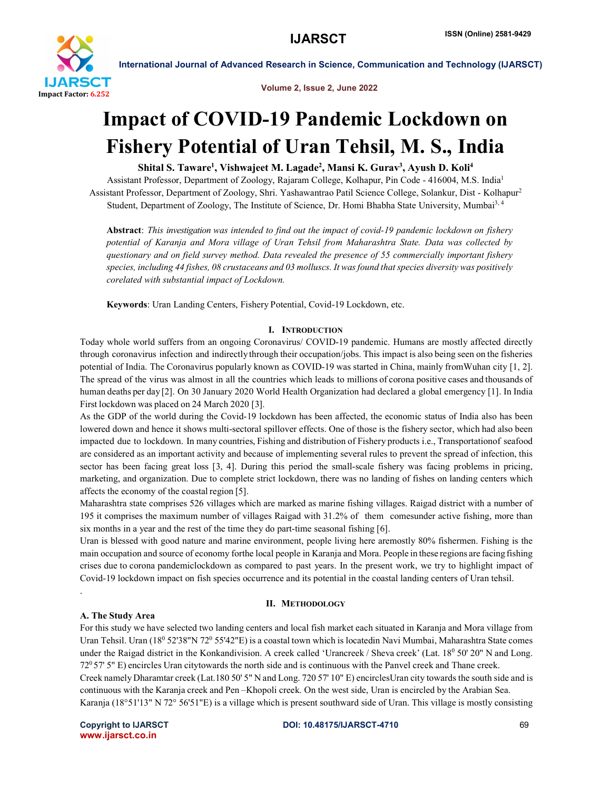

Volume 2, Issue 2, June 2022

## Impact of COVID-19 Pandemic Lockdown on Fishery Potential of Uran Tehsil, M. S., India

## Shital S. Taware<sup>1</sup>, Vishwajeet M. Lagade<sup>2</sup>, Mansi K. Gurav<sup>3</sup>, Ayush D. Koli<sup>4</sup>

Assistant Professor, Department of Zoology, Rajaram College, Kolhapur, Pin Code - 416004, M.S. India<sup>1</sup> Assistant Professor, Department of Zoology, Shri. Yashawantrao Patil Science College, Solankur, Dist - Kolhapur2 Student, Department of Zoology, The Institute of Science, Dr. Homi Bhabha State University, Mumbai3, 4

Abstract: *This investigation was intended to find out the impact of covid-19 pandemic lockdown on fishery potential of Karanja and Mora village of Uran Tehsil from Maharashtra State. Data was collected by questionary and on field survey method. Data revealed the presence of 55 commercially important fishery species, including 44 fishes, 08 crustaceans and 03 molluscs. It was found that species diversity was positively corelated with substantial impact of Lockdown.*

Keywords: Uran Landing Centers, Fishery Potential, Covid-19 Lockdown, etc.

#### I. INTRODUCTION

Today whole world suffers from an ongoing Coronavirus/ COVID-19 pandemic. Humans are mostly affected directly through coronavirus infection and indirectly through their occupation/jobs. This impact is also being seen on the fisheries potential of India. The Coronavirus popularly known as COVID-19 was started in China, mainly fromWuhan city [1, 2]. The spread of the virus was almost in all the countries which leads to millions of corona positive cases and thousands of human deaths per day [2]. On 30 January 2020 World Health Organization had declared a global emergency [1]. In India First lockdown was placed on 24 March 2020 [3].

As the GDP of the world during the Covid-19 lockdown has been affected, the economic status of India also has been lowered down and hence it shows multi-sectoral spillover effects. One of those is the fishery sector, which had also been impacted due to lockdown. In many countries, Fishing and distribution of Fishery products i.e., Transportationof seafood are considered as an important activity and because of implementing several rules to prevent the spread of infection, this sector has been facing great loss [3, 4]. During this period the small-scale fishery was facing problems in pricing, marketing, and organization. Due to complete strict lockdown, there was no landing of fishes on landing centers which affects the economy of the coastal region [5].

Maharashtra state comprises 526 villages which are marked as marine fishing villages. Raigad district with a number of 195 it comprises the maximum number of villages Raigad with 31.2% of them comesunder active fishing, more than six months in a year and the rest of the time they do part-time seasonal fishing [6].

Uran is blessed with good nature and marine environment, people living here aremostly 80% fishermen. Fishing is the main occupation and source of economy forthe local people in Karanja and Mora. People in these regions are facing fishing crises due to corona pandemiclockdown as compared to past years. In the present work, we try to highlight impact of Covid-19 lockdown impact on fish species occurrence and its potential in the coastal landing centers of Uran tehsil.

#### II. METHODOLOGY

### A. The Study Area

.

For this study we have selected two landing centers and local fish market each situated in Karanja and Mora village from Uran Tehsil. Uran (18<sup>0</sup> 52'38"N 72<sup>0</sup> 55'42"E) is a coastal town which is locatedin Navi Mumbai, Maharashtra State comes under the Raigad district in the Konkandivision. A creek called 'Urancreek / Sheva creek' (Lat. 18<sup>0</sup> 50' 20" N and Long. 720 57' 5" E) encircles Uran city towards the north side and is continuous with the Panvel creek and Thane creek. Creek namely Dharamtar creek (Lat.180 50' 5" N and Long. 720 57' 10" E) encirclesUran city towards the south side and is continuous with the Karanja creek and Pen –Khopoli creek. On the west side, Uran is encircled by the Arabian Sea. Karanja (18°51'13" N 72° 56'51"E) is a village which is present southward side of Uran. This village is mostly consisting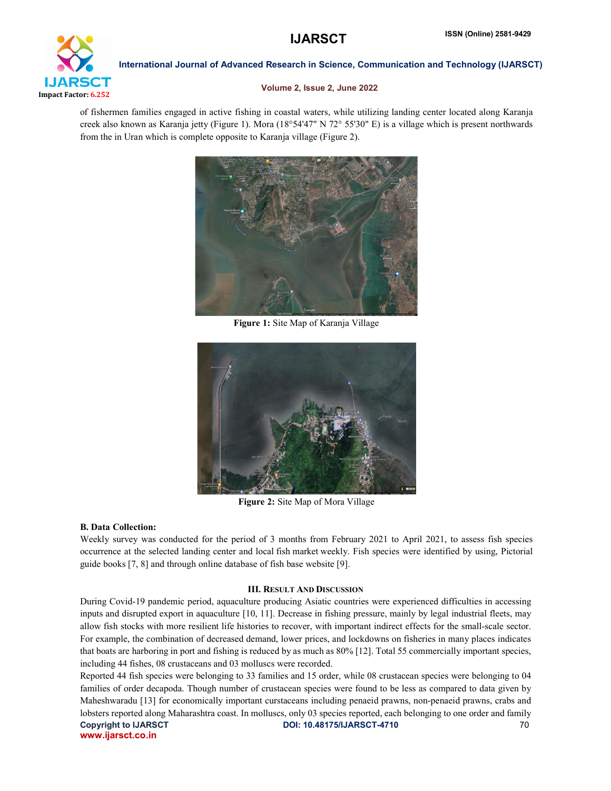# **IJARSCT**

Impact Factor: 6.252

International Journal of Advanced Research in Science, Communication and Technology (IJARSCT)

#### Volume 2, Issue 2, June 2022

of fishermen families engaged in active fishing in coastal waters, while utilizing landing center located along Karanja creek also known as Karanja jetty (Figure 1). Mora (18°54'47" N 72° 55'30" E) is a village which is present northwards from the in Uran which is complete opposite to Karanja village (Figure 2).



Figure 1: Site Map of Karanja Village



Figure 2: Site Map of Mora Village

#### B. Data Collection:

Weekly survey was conducted for the period of 3 months from February 2021 to April 2021, to assess fish species occurrence at the selected landing center and local fish market weekly. Fish species were identified by using, Pictorial guide books [7, 8] and through online database of fish base website [9].

#### III. RESULT AND DISCUSSION

During Covid-19 pandemic period, aquaculture producing Asiatic countries were experienced difficulties in accessing inputs and disrupted export in aquaculture [10, 11]. Decrease in fishing pressure, mainly by legal industrial fleets, may allow fish stocks with more resilient life histories to recover, with important indirect effects for the small-scale sector. For example, the combination of decreased demand, lower prices, and lockdowns on fisheries in many places indicates that boats are harboring in port and fishing is reduced by as much as 80% [12]. Total 55 commercially important species, including 44 fishes, 08 crustaceans and 03 molluscs were recorded.

Copyright to IJARSCT **DOI: 10.48175/IJARSCT-4710** 70 www.ijarsct.co.in Reported 44 fish species were belonging to 33 families and 15 order, while 08 crustacean species were belonging to 04 families of order decapoda. Though number of crustacean species were found to be less as compared to data given by Maheshwaradu [13] for economically important curstaceans including penaeid prawns, non-penaeid prawns, crabs and lobsters reported along Maharashtra coast. In molluscs, only 03 species reported, each belonging to one order and family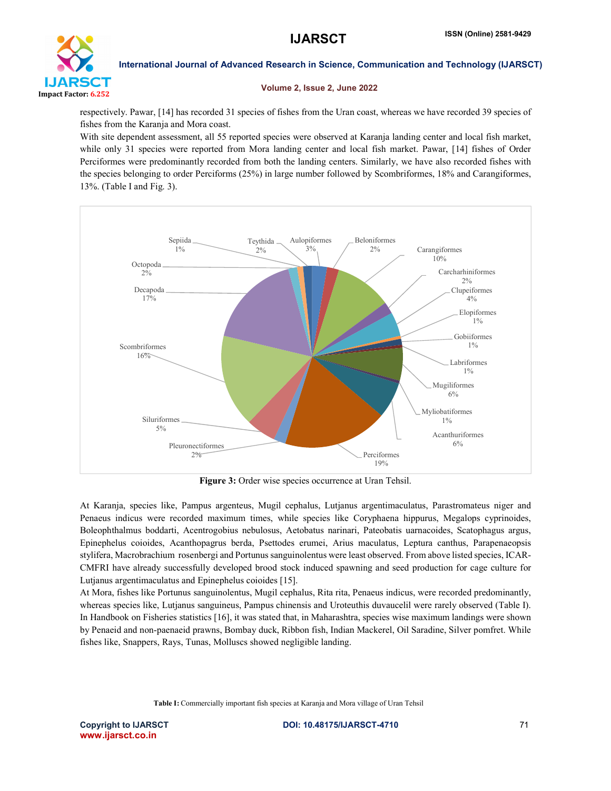

#### Volume 2, Issue 2, June 2022

respectively. Pawar, [14] has recorded 31 species of fishes from the Uran coast, whereas we have recorded 39 species of fishes from the Karanja and Mora coast.

With site dependent assessment, all 55 reported species were observed at Karanja landing center and local fish market, while only 31 species were reported from Mora landing center and local fish market. Pawar, [14] fishes of Order Perciformes were predominantly recorded from both the landing centers. Similarly, we have also recorded fishes with the species belonging to order Perciforms (25%) in large number followed by Scombriformes, 18% and Carangiformes, 13%. (Table I and Fig. 3).



Figure 3: Order wise species occurrence at Uran Tehsil.

At Karanja, species like, Pampus argenteus, Mugil cephalus, Lutjanus argentimaculatus, Parastromateus niger and Penaeus indicus were recorded maximum times, while species like Coryphaena hippurus, Megalops cyprinoides, Boleophthalmus boddarti, Acentrogobius nebulosus, Aetobatus narinari, Pateobatis uarnacoides, Scatophagus argus, Epinephelus coioides, Acanthopagrus berda, Psettodes erumei, Arius maculatus, Leptura canthus, Parapenaeopsis stylifera, Macrobrachium rosenbergi and Portunus sanguinolentus were least observed. From above listed species, ICAR-CMFRI have already successfully developed brood stock induced spawning and seed production for cage culture for Lutjanus argentimaculatus and Epinephelus coioides [15].

At Mora, fishes like Portunus sanguinolentus, Mugil cephalus, Rita rita, Penaeus indicus, were recorded predominantly, whereas species like, Lutjanus sanguineus, Pampus chinensis and Uroteuthis duvaucelil were rarely observed (Table I). In Handbook on Fisheries statistics [16], it was stated that, in Maharashtra, species wise maximum landings were shown by Penaeid and non-paenaeid prawns, Bombay duck, Ribbon fish, Indian Mackerel, Oil Saradine, Silver pomfret. While fishes like, Snappers, Rays, Tunas, Molluscs showed negligible landing.

Table I: Commercially important fish species at Karanja and Mora village of Uran Tehsil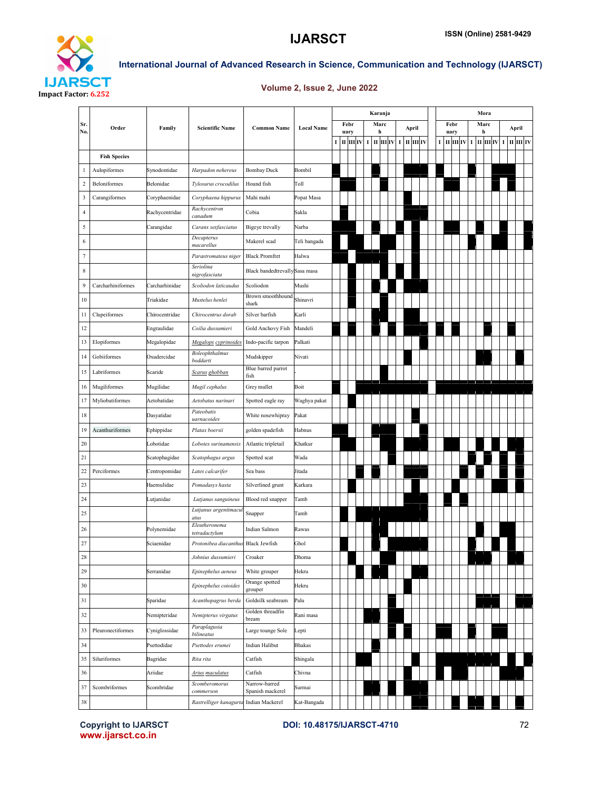



#### Volume 2, Issue 2, June 2022

|                         |                     | Family         | <b>Scientific Name</b>         | <b>Common Name</b>                | <b>Local Name</b> |              |           |  |           | Karanja                               |  |  |             |  |      | Mora         |              |      |           |             |  |      |       |              |  |
|-------------------------|---------------------|----------------|--------------------------------|-----------------------------------|-------------------|--------------|-----------|--|-----------|---------------------------------------|--|--|-------------|--|------|--------------|--------------|------|-----------|-------------|--|------|-------|--------------|--|
| Sr.<br>No.              | Order               |                |                                |                                   |                   | Febr<br>uary |           |  | Marc<br>h |                                       |  |  | April       |  |      |              | Febr<br>uary |      | Marc<br>h |             |  |      | April |              |  |
|                         |                     |                |                                |                                   |                   |              | пшіу<br>I |  |           | $I$ $\parallel$ $II$ $\parallel$ $IV$ |  |  | $\mathbf I$ |  | пшіу | $\mathbf{I}$ |              | ПШІУ |           | $\mathbf I$ |  | пшіу |       | I III III IV |  |
|                         | <b>Fish Species</b> |                |                                |                                   |                   |              |           |  |           |                                       |  |  |             |  |      |              |              |      |           |             |  |      |       |              |  |
| 1                       | Aulopiformes        | Synodontidae   | Harpadon nehereus              | <b>Bombay Duck</b>                | Bombil            |              |           |  |           |                                       |  |  |             |  |      |              |              |      |           |             |  |      |       |              |  |
| $\sqrt{2}$              | Beloniformes        | Belonidae      | Tylosurus crocodilus           | Hound fish                        | Toll              |              |           |  |           |                                       |  |  |             |  |      |              |              |      |           |             |  |      |       |              |  |
| $\overline{\mathbf{3}}$ | Carangiformes       | Coryphaenidae  | Coryphaena hippurus            | Mahi mahi                         | Popat Masa        |              |           |  |           |                                       |  |  |             |  |      |              |              |      |           |             |  |      |       |              |  |
| $\overline{4}$          |                     | Rachycentridae | Rachycentron<br>canadum        | Cobia                             | Sakla             |              |           |  |           |                                       |  |  |             |  |      |              |              |      |           |             |  |      |       |              |  |
| 5                       |                     | Carangidae     | Caranx sexfasciatus            | Bigeye trevally                   | Narba             |              |           |  |           |                                       |  |  |             |  |      |              |              |      |           |             |  |      |       |              |  |
| 6                       |                     |                | Decapterus<br>macarellus       | Makerel scad                      | Teli bangada      |              |           |  |           |                                       |  |  |             |  |      |              |              |      |           |             |  |      |       |              |  |
| $\tau$                  |                     |                | Parastromateus niger           | <b>Black Promfret</b>             | Halwa             |              |           |  |           |                                       |  |  |             |  |      |              |              |      |           |             |  |      |       |              |  |
| 8                       |                     |                | Seriolina<br>nigrofasciata     | Black bandedtrevallySasa masa     |                   |              |           |  |           |                                       |  |  |             |  |      |              |              |      |           |             |  |      |       |              |  |
| 9                       | Carcharhiniformes   | Carcharhinidae | Scoliodon laticaudus           | Scoliodon                         | Mushi             |              |           |  |           |                                       |  |  |             |  |      |              |              |      |           |             |  |      |       |              |  |
| 10                      |                     | Triakidae      | Mustelus henlei                | Brown smoothhound<br>shark        | Shinavri          |              |           |  |           |                                       |  |  |             |  |      |              |              |      |           |             |  |      |       |              |  |
| 11                      | Clupeiformes        | Chirocentridae | Chirocentrus dorab             | Silver barfish                    | Karli             |              |           |  |           |                                       |  |  |             |  |      |              |              |      |           |             |  |      |       |              |  |
| 12                      |                     | Engraulidae    | Coilia dussumieri              | Gold Anchovy Fish                 | Mandeli           |              |           |  |           |                                       |  |  |             |  |      |              |              |      |           |             |  |      |       |              |  |
| 13                      | Elopiformes         | Megalopidae    | Megalops cyprinoides           | Indo-pacific tarpon               | Palkati           |              |           |  |           |                                       |  |  |             |  |      |              |              |      |           |             |  |      |       |              |  |
| 14                      | Gobiiformes         | Oxudercidae    | Boleophthalmus<br>boddarti     | Mudskipper                        | Nivati            |              |           |  |           |                                       |  |  |             |  |      |              |              |      |           |             |  |      |       |              |  |
| 15                      | Labriformes         | Scaride        | Scarus ghobban                 | Blue barred parrot<br>fish        |                   |              |           |  |           |                                       |  |  |             |  |      |              |              |      |           |             |  |      |       |              |  |
| 16                      | Mugiliformes        | Mugilidae      | Mugil cephalus                 | Grey mullet                       | Boit              |              |           |  |           |                                       |  |  |             |  |      |              |              |      |           |             |  |      |       |              |  |
| 17                      | Myliobatiformes     | Aetobatidae    | Aetobatus narinari             | Spotted eagle ray                 | Waghya pakat      |              |           |  |           |                                       |  |  |             |  |      |              |              |      |           |             |  |      |       |              |  |
| 18                      |                     | Dasyatidae     | Pateobatis<br>uarnacoides      | White nosewhipray                 | Pakat             |              |           |  |           |                                       |  |  |             |  |      |              |              |      |           |             |  |      |       |              |  |
| 19                      | Acanthuriformes     | Ephippidae     | Platax boersii                 | golden spadefish                  | Habnus            |              |           |  |           |                                       |  |  |             |  |      |              |              |      |           |             |  |      |       |              |  |
| 20                      |                     | Lobotidae      | Lobotes surinamensis           | Atlantic tripletail               | Khatkur           |              |           |  |           |                                       |  |  |             |  |      |              |              |      |           |             |  |      |       |              |  |
| 21                      |                     | Scatophagidae  | Scatophagus argus              | Spotted scat                      | Wada              |              |           |  |           |                                       |  |  |             |  |      |              |              |      |           |             |  |      |       |              |  |
| 22                      | Perciformes         | Centropomidae  | Lates calcarifer               | Sea bass                          | Jitada            |              |           |  |           |                                       |  |  |             |  |      |              |              |      |           |             |  |      |       |              |  |
| 23                      |                     | Haemulidae     | Pomadasys hasta                | Silverlined grunt                 | Karkara           |              |           |  |           |                                       |  |  |             |  |      |              |              |      |           |             |  |      |       |              |  |
| 24                      |                     | Lutjanidae     | Lutjanus sanguineus            | Blood red snapper                 | Tamb              |              |           |  |           |                                       |  |  |             |  |      |              |              |      |           |             |  |      |       |              |  |
| 25                      |                     |                | Lutjanus argentimacu<br>atus   | Snapper                           | Tamb              |              |           |  |           |                                       |  |  |             |  |      |              |              |      |           |             |  |      |       |              |  |
| 26                      |                     | Polynemidae    | Eleutheronema<br>tetradactylum | Indian Salmon                     | Rawas             |              |           |  |           |                                       |  |  |             |  |      |              |              |      |           |             |  |      |       |              |  |
| 27                      |                     | Sciaenidae     | Protonibea diacanthus          | <b>Black Jewfish</b>              | Ghol              |              |           |  |           |                                       |  |  |             |  |      |              |              |      |           |             |  |      |       |              |  |
| 28                      |                     |                | Johnius dussumieri             | Croaker                           | Dhoma             |              |           |  |           |                                       |  |  |             |  |      |              |              |      |           |             |  |      |       |              |  |
| 29                      |                     | Serranidae     | Epinephelus aeneus             | White grouper                     | Hekru             |              |           |  |           |                                       |  |  |             |  |      |              |              |      |           |             |  |      |       |              |  |
| 30                      |                     |                | Epinephelus coioides           | Orange spotted<br>grouper         | Hekru             |              |           |  |           |                                       |  |  |             |  |      |              |              |      |           |             |  |      |       |              |  |
| 31                      |                     | Sparidae       | Acanthopagrus berda            | Goldsilk seabream                 | Palu              |              |           |  |           |                                       |  |  |             |  |      |              |              |      |           |             |  |      |       |              |  |
| 32                      |                     | Nemipteridae   | Nemipterus virgatus            | Golden threadfin<br>bream         | Rani masa         |              |           |  |           |                                       |  |  |             |  |      |              |              |      |           |             |  |      |       |              |  |
| 33                      | Pleuronectiformes   | Cyniglossidae  | Paraplagusia<br>bilineatus     | Large tounge Sole                 | Lepti             |              |           |  |           |                                       |  |  |             |  |      |              |              |      |           |             |  |      |       |              |  |
| 34                      |                     | Psettodidae    | Psettodes erumei               | Indian Halibut                    | Bhakas            |              |           |  |           |                                       |  |  |             |  |      |              |              |      |           |             |  |      |       |              |  |
| 35                      | Siluriformes        | Bagridae       | Rita rita                      | Catfish                           | Shingala          |              |           |  |           |                                       |  |  |             |  |      |              |              |      |           |             |  |      |       |              |  |
| 36                      |                     | Ariidae        | <b>Arius</b> maculatus         | Catfish                           | Chivna            |              |           |  |           |                                       |  |  |             |  |      |              |              |      |           |             |  |      |       |              |  |
| 37                      | Scombriformes       | Scombridae     | Scomberomorus<br>commerson     | Narrow-barred<br>Spanish mackerel | Surmai            |              |           |  |           |                                       |  |  |             |  |      |              |              |      |           |             |  |      |       |              |  |
| 38                      |                     |                | Rastrelliger kanagurta         | Indian Mackerel                   | Kat-Bangada       |              |           |  |           |                                       |  |  |             |  |      |              |              |      |           |             |  |      |       |              |  |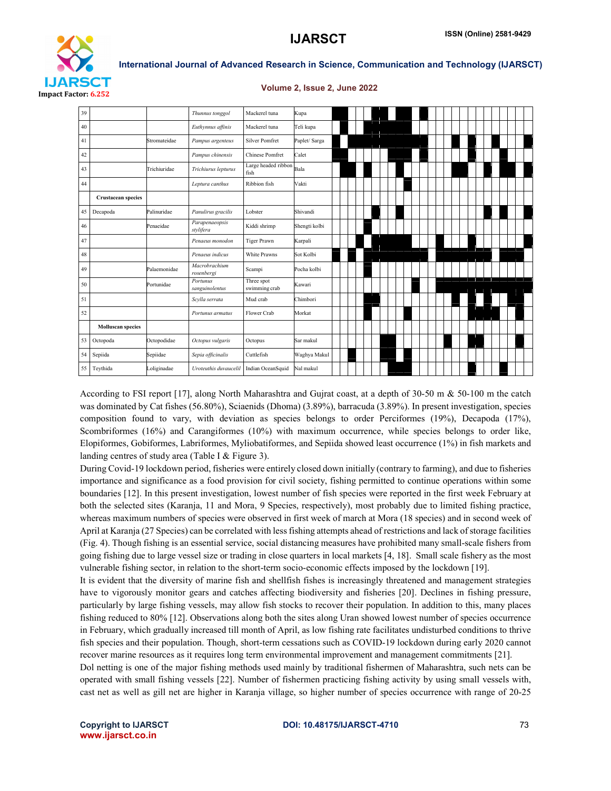

| <b>Volume 2, Issue 2, June 2022</b> |  |  |  |
|-------------------------------------|--|--|--|
|                                     |  |  |  |

| 39 |                           |              | Thunnus tonggol             | Mackerel tuna               | Kupa          |  |  |  |  |  |  |  |  |
|----|---------------------------|--------------|-----------------------------|-----------------------------|---------------|--|--|--|--|--|--|--|--|
| 40 |                           |              | Euthynnus affinis           | Mackerel tuna               | Teli kupa     |  |  |  |  |  |  |  |  |
| 41 |                           | Stromateidae | Pampus argenteus            | <b>Silver Pomfret</b>       | Paplet/ Sarga |  |  |  |  |  |  |  |  |
| 42 |                           |              | Pampus chinensis            | <b>Chinese Pomfret</b>      | Calet         |  |  |  |  |  |  |  |  |
| 43 |                           | Trichiuridae | Trichiurus lepturus         | Large headed ribbon<br>fish | Bala          |  |  |  |  |  |  |  |  |
| 44 |                           |              | Leptura canthus             | Ribbion fish                | Vakti         |  |  |  |  |  |  |  |  |
|    | <b>Crustacean species</b> |              |                             |                             |               |  |  |  |  |  |  |  |  |
| 45 | Decapoda                  | Palinuridae  | Panulirus gracilis          | Lobster                     | Shivandi      |  |  |  |  |  |  |  |  |
| 46 |                           | Penaeidae    | Parapenaeopsis<br>stylifera | Kiddi shrimp                | Shengti kolbi |  |  |  |  |  |  |  |  |
| 47 |                           |              | Penaeus monodon             | <b>Tiger Prawn</b>          | Karpali       |  |  |  |  |  |  |  |  |
| 48 |                           |              | Penaeus indicus             | White Prawns                | Sot Kolbi     |  |  |  |  |  |  |  |  |
| 49 |                           | Palaemonidae | Macrobrachium<br>rosenbergi | Scampi                      | Pocha kolbi   |  |  |  |  |  |  |  |  |
| 50 |                           | Portunidae   | Portunus<br>sanguinolentus  | Three spot<br>swimming crab | Kawari        |  |  |  |  |  |  |  |  |
| 51 |                           |              | Scylla serrata              | Mud crab                    | Chimbori      |  |  |  |  |  |  |  |  |
| 52 |                           |              | Portunus armatus            | Flower Crab                 | Morkat        |  |  |  |  |  |  |  |  |
|    | <b>Molluscan species</b>  |              |                             |                             |               |  |  |  |  |  |  |  |  |
| 53 | Octopoda                  | Octopodidae  | Octopus vulgaris            | Octopus                     | Sar makul     |  |  |  |  |  |  |  |  |
| 54 | Sepiida                   | Sepiidae     | Sepia officinalis           | Cuttlefish                  | Waghya Makul  |  |  |  |  |  |  |  |  |
| 55 | Teythida                  | Loliginadae  | Uroteuthis duvaucelil       | Indian OceanSquid           | Nal makul     |  |  |  |  |  |  |  |  |

According to FSI report [17], along North Maharashtra and Gujrat coast, at a depth of 30-50 m & 50-100 m the catch was dominated by Cat fishes (56.80%), Sciaenids (Dhoma) (3.89%), barracuda (3.89%). In present investigation, species composition found to vary, with deviation as species belongs to order Perciformes (19%), Decapoda (17%), Scombriformes (16%) and Carangiformes (10%) with maximum occurrence, while species belongs to order like, Elopiformes, Gobiformes, Labriformes, Myliobatiformes, and Sepiida showed least occurrence (1%) in fish markets and landing centres of study area (Table I & Figure 3).

During Covid-19 lockdown period, fisheries were entirely closed down initially (contrary to farming), and due to fisheries importance and significance as a food provision for civil society, fishing permitted to continue operations within some boundaries [12]. In this present investigation, lowest number of fish species were reported in the first week February at both the selected sites (Karanja, 11 and Mora, 9 Species, respectively), most probably due to limited fishing practice, whereas maximum numbers of species were observed in first week of march at Mora (18 species) and in second week of April at Karanja (27 Species) can be correlated with less fishing attempts ahead of restrictions and lack of storage facilities (Fig. 4). Though fishing is an essential service, social distancing measures have prohibited many small-scale fishers from going fishing due to large vessel size or trading in close quarters in local markets [4, 18]. Small scale fishery as the most vulnerable fishing sector, in relation to the short-term socio-economic effects imposed by the lockdown [19].

It is evident that the diversity of marine fish and shellfish fishes is increasingly threatened and management strategies have to vigorously monitor gears and catches affecting biodiversity and fisheries [20]. Declines in fishing pressure, particularly by large fishing vessels, may allow fish stocks to recover their population. In addition to this, many places fishing reduced to 80% [12]. Observations along both the sites along Uran showed lowest number of species occurrence in February, which gradually increased till month of April, as low fishing rate facilitates undisturbed conditions to thrive fish species and their population. Though, short-term cessations such as COVID-19 lockdown during early 2020 cannot recover marine resources as it requires long term environmental improvement and management commitments [21].

Dol netting is one of the major fishing methods used mainly by traditional fishermen of Maharashtra, such nets can be operated with small fishing vessels [22]. Number of fishermen practicing fishing activity by using small vessels with, cast net as well as gill net are higher in Karanja village, so higher number of species occurrence with range of 20-25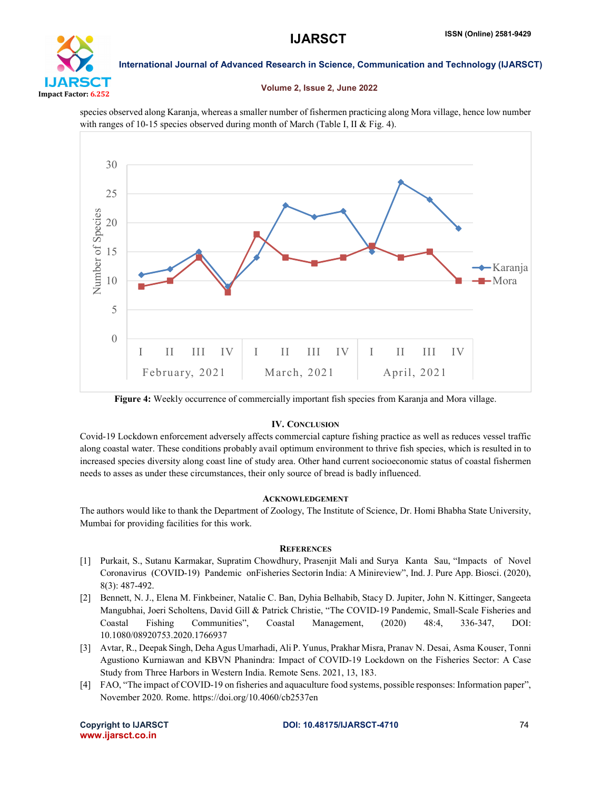

#### Volume 2, Issue 2, June 2022

species observed along Karanja, whereas a smaller number of fishermen practicing along Mora village, hence low number with ranges of 10-15 species observed during month of March (Table I, II & Fig. 4).



Figure 4: Weekly occurrence of commercially important fish species from Karanja and Mora village.

### IV. CONCLUSION

Covid-19 Lockdown enforcement adversely affects commercial capture fishing practice as well as reduces vessel traffic along coastal water. These conditions probably avail optimum environment to thrive fish species, which is resulted in to increased species diversity along coast line of study area. Other hand current socioeconomic status of coastal fishermen needs to asses as under these circumstances, their only source of bread is badly influenced.

#### ACKNOWLEDGEMENT

The authors would like to thank the Department of Zoology, The Institute of Science, Dr. Homi Bhabha State University, Mumbai for providing facilities for this work.

#### **REFERENCES**

- [1] Purkait, S., Sutanu Karmakar, Supratim Chowdhury, Prasenjit Mali and Surya Kanta Sau, "Impacts of Novel Coronavirus (COVID-19) Pandemic onFisheries Sectorin India: A Minireview", Ind. J. Pure App. Biosci. (2020), 8(3): 487-492.
- [2] Bennett, N. J., Elena M. Finkbeiner, Natalie C. Ban, Dyhia Belhabib, Stacy D. Jupiter, John N. Kittinger, Sangeeta Mangubhai, Joeri Scholtens, David Gill & Patrick Christie, "The COVID-19 Pandemic, Small-Scale Fisheries and Coastal Fishing Communities", Coastal Management, (2020) 48:4, 336-347, DOI: 10.1080/08920753.2020.1766937
- [3] Avtar, R., Deepak Singh, Deha Agus Umarhadi, Ali P. Yunus, Prakhar Misra, Pranav N. Desai, Asma Kouser, Tonni Agustiono Kurniawan and KBVN Phanindra: Impact of COVID-19 Lockdown on the Fisheries Sector: A Case Study from Three Harbors in Western India. Remote Sens. 2021, 13, 183.
- [4] FAO, "The impact of COVID-19 on fisheries and aquaculture food systems, possible responses: Information paper", November 2020. Rome. https://doi.org/10.4060/cb2537en